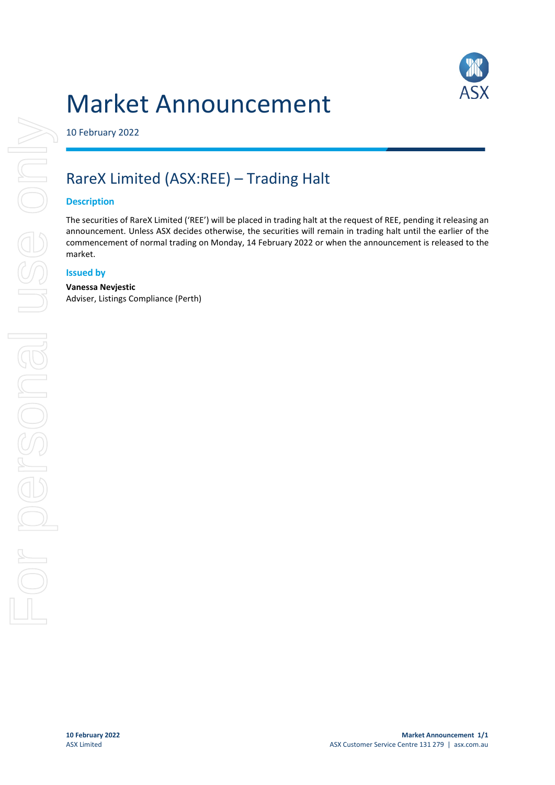



10 February 2022

# RareX Limited (ASX:REE) – Trading Halt

### **Description**

The securities of RareX Limited ('REE') will be placed in trading halt at the request of REE, pending it releasing an announcement. Unless ASX decides otherwise, the securities will remain in trading halt until the earlier of the commencement of normal trading on Monday, 14 February 2022 or when the announcement is released to the market.

#### **Issued by**

#### **Vanessa Nevjestic**

Adviser, Listings Compliance (Perth)